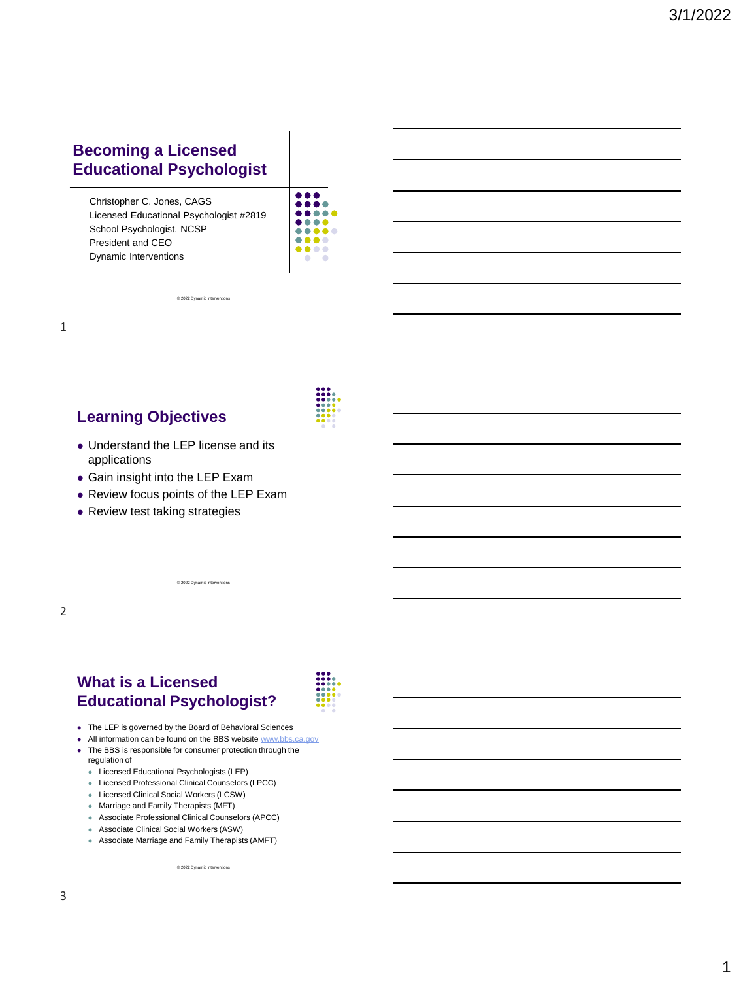### **Becoming a Licensed Educational Psychologist**

Christopher C. Jones, CAGS Licensed Educational Psychologist #2819 School Psychologist, NCSP President and CEO Dynamic Interventions

© 2022 Dynamic Inter

| . .<br>. . |
|------------|
|            |
| .          |
| .<br>u.    |
|            |
| .          |
| o          |
|            |
|            |
|            |

1

### **Learning Objectives**

- ⚫ Understand the LEP license and its applications
- ⚫ Gain insight into the LEP Exam
- ⚫ Review focus points of the LEP Exam

© 2022 Dynamic Interve

⚫ Review test taking strategies



### **What is a Licensed Educational Psychologist?**



- ⚫ The LEP is governed by the Board of Behavioral Sciences
- All information can be found on the BBS website [www.bbs.ca.gov](http://www.bbs.ca.gov/)
- ⚫ The BBS is responsible for consumer protection through the regulation of
	- ⚫ Licensed Educational Psychologists (LEP)
	- ⚫ Licensed Professional Clinical Counselors (LPCC)
	- ⚫ Licensed Clinical Social Workers (LCSW)
	- ⚫ Marriage and Family Therapists (MFT)
	- Associate Professional Clinical Counselors (APCC)
	- ⚫ Associate Clinical Social Workers (ASW)
	- ⚫ Associate Marriage and Family Therapists (AMFT)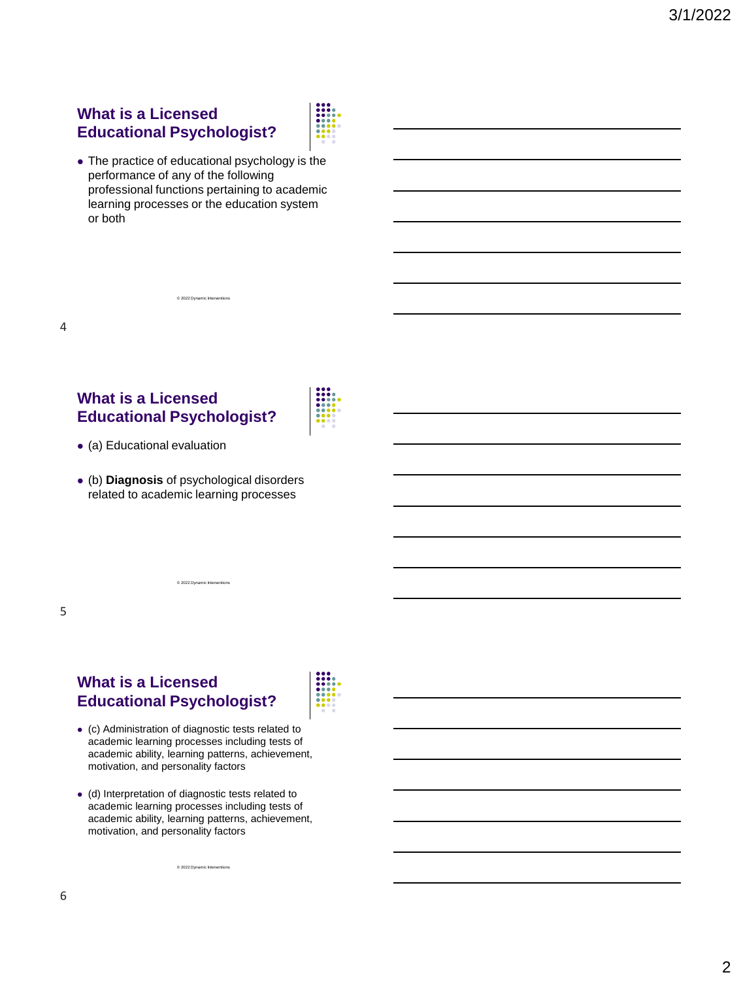### **What is a Licensed Educational Psychologist?**



⚫ The practice of educational psychology is the performance of any of the following professional functions pertaining to academic learning processes or the education system or both

© 2022 Dynamic Interv

### **What is a Licensed Educational Psychologist?**



- ⚫ (a) Educational evaluation
- ⚫ (b) **Diagnosis** of psychological disorders related to academic learning processes

© 2022 Dynamic Interve

### 5

4

### **What is a Licensed Educational Psychologist?**



- ⚫ (c) Administration of diagnostic tests related to academic learning processes including tests of academic ability, learning patterns, achievement, motivation, and personality factors
- ⚫ (d) Interpretation of diagnostic tests related to academic learning processes including tests of academic ability, learning patterns, achievement, motivation, and personality factors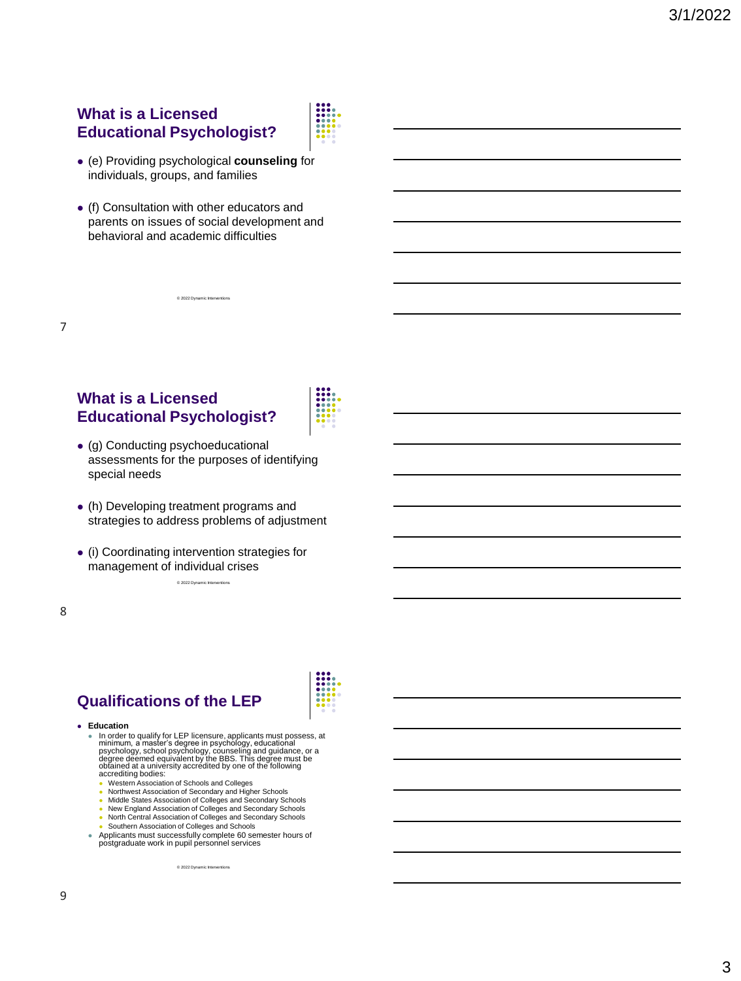### **What is a Licensed Educational Psychologist?**



- ⚫ (e) Providing psychological **counseling** for individuals, groups, and families
- ⚫ (f) Consultation with other educators and parents on issues of social development and behavioral and academic difficulties

© 2022 Dynamic Inter

### **What is a Licensed Educational Psychologist?**



- ⚫ (g) Conducting psychoeducational assessments for the purposes of identifying special needs
- ⚫ (h) Developing treatment programs and strategies to address problems of adjustment
- © 2022 Dynamic Interventions ⚫ (i) Coordinating intervention strategies for management of individual crises

8

7

# **Qualifications of the LEP**

#### ⚫ **Education**

• In order to qualify for LEP licensure, applicants must possess, at<br>minimum, a master's degree in psychology, educational<br>psychology, school psychology, counseling and guidance, or a<br>degree deemed equivalent by the BBS. T accrediting bodies:

- ⚫ Western Association of Schools and Colleges
- ⚫ Northwest Association of Secondary and Higher Schools
- ⚫ Middle States Association of Colleges and Secondary Schools ⚫ New England Association of Colleges and Secondary Schools
- ⚫ North Central Association of Colleges and Secondary Schools
- ⚫ Southern Association of Colleges and Schools
- ⚫ Applicants must successfully complete 60 semester hours of postgraduate work in pupil personnel services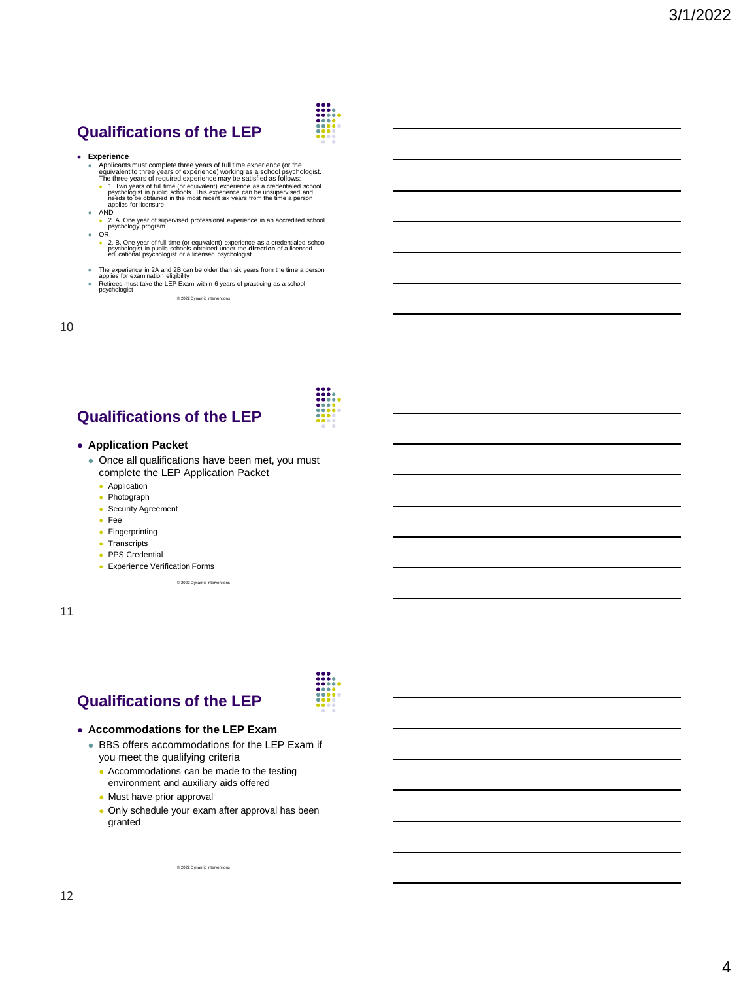# **Qualifications of the LEP**

#### ⚫ **Experience**

- 
- Applicants must complete three years of tull time experience (or the<br>equivalent to three years of experience) working as a school psychologist.<br>The three years of required experience may be satisfied as follows:<br>• 1. Two
- 
- AND<br>■ 2. A. One year of supervised professional experience in an accredited school psychology program
- ⚫ OR ⚫ 2. B. One year of full time (or equivalent) experience as a credentialed school psychologist in public schools obtained under the **direction** of a licensed educational psychologist or a licensed psychologist.
- ⚫ The experience in 2A and 2B can be older than six years from the time a person applies for examination eligibility

© 2022 Dynamic Interventions

⚫ Retirees must take the LEP Exam within 6 years of practicing as a school psychologist

10

# **Qualifications of the LEP**

#### ⚫ **Application Packet**

- ⚫ Once all qualifications have been met, you must complete the LEP Application Packet
	- ⚫ Application
	- ⚫ Photograph
	- ⚫ Security Agreement
	- ⚫ Fee
	- ⚫ Fingerprinting
	- ⚫ Transcripts
	- ⚫ PPS Credential
	- ⚫ Experience Verification Forms

© 2022 Dynamic Int

11

### **Qualifications of the LEP**

#### ⚫ **Accommodations for the LEP Exam**

- ⚫ BBS offers accommodations for the LEP Exam if you meet the qualifying criteria
	- Accommodations can be made to the testing environment and auxiliary aids offered
	- ⚫ Must have prior approval
	- ⚫ Only schedule your exam after approval has been granted

 $@ 2022$  Dynamic Interve

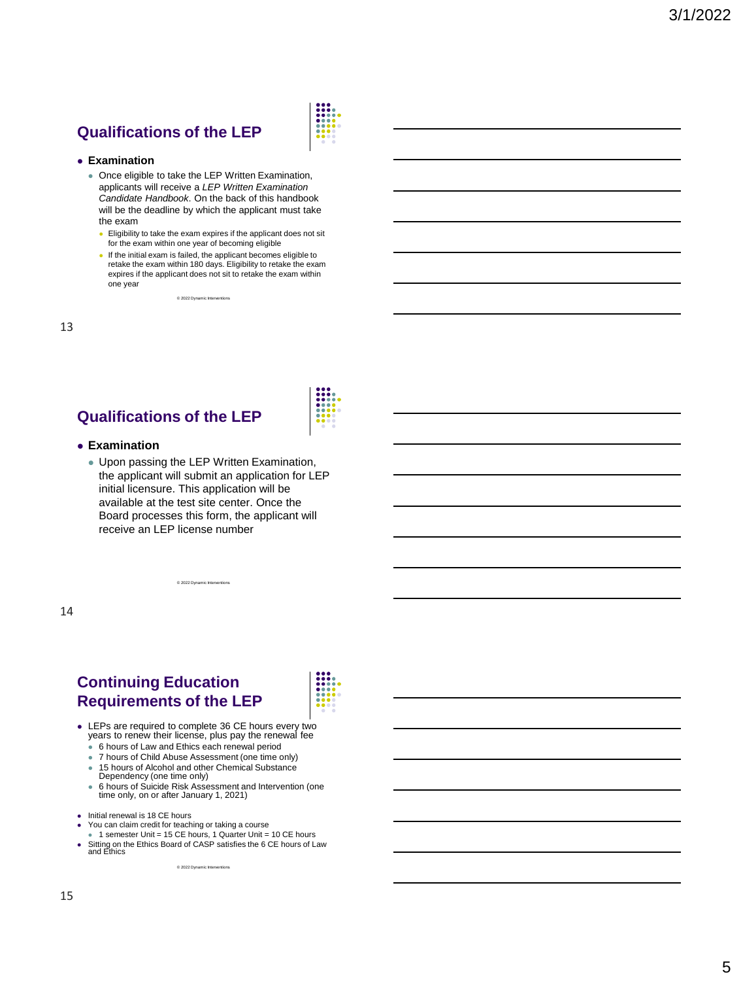# **Qualifications of the LEP**



#### ⚫ **Examination**

- Once eligible to take the LEP Written Examination, applicants will receive a *LEP Written Examination Candidate Handbook*. On the back of this handbook will be the deadline by which the applicant must take the exam
	- Eligibility to take the exam expires if the applicant does not sit for the exam within one year of becoming eligible
	- ⚫ If the initial exam is failed, the applicant becomes eligible to retake the exam within 180 days. Eligibility to retake the exam expires if the applicant does not sit to retake the exam within one year

© 2022 Dynamic Inter

13

# **Qualifications of the LEP**

#### ⚫ **Examination**

⚫ Upon passing the LEP Written Examination, the applicant will submit an application for LEP initial licensure. This application will be available at the test site center. Once the Board processes this form, the applicant will receive an LEP license number

14

### **Continuing Education Requirements of the LEP**



- ⚫ LEPs are required to complete 36 CE hours every two years to renew their license, plus pay the renewal fee
	- 6 hours of Law and Ethics each renewal period

 $@ 2022$  Dyna

- 7 hours of Child Abuse Assessment (one time only)
- 15 hours of Alcohol and other Chemical Substance<br>Dependency (one time only)
- ⚫ 6 hours of Suicide Risk Assessment and Intervention (one time only, on or after January 1, 2021)
- 
- ⚫ Initial renewal is 18 CE hours ⚫ You can claim credit for teaching or taking a course
	-
- 1 semester Unit = 15 CE hours, 1 Quarter Unit = 10 CE hours<br>■ Sitting on the Ethics Board of CASP satisfies the 6 CE hours of Law<br>and Ethics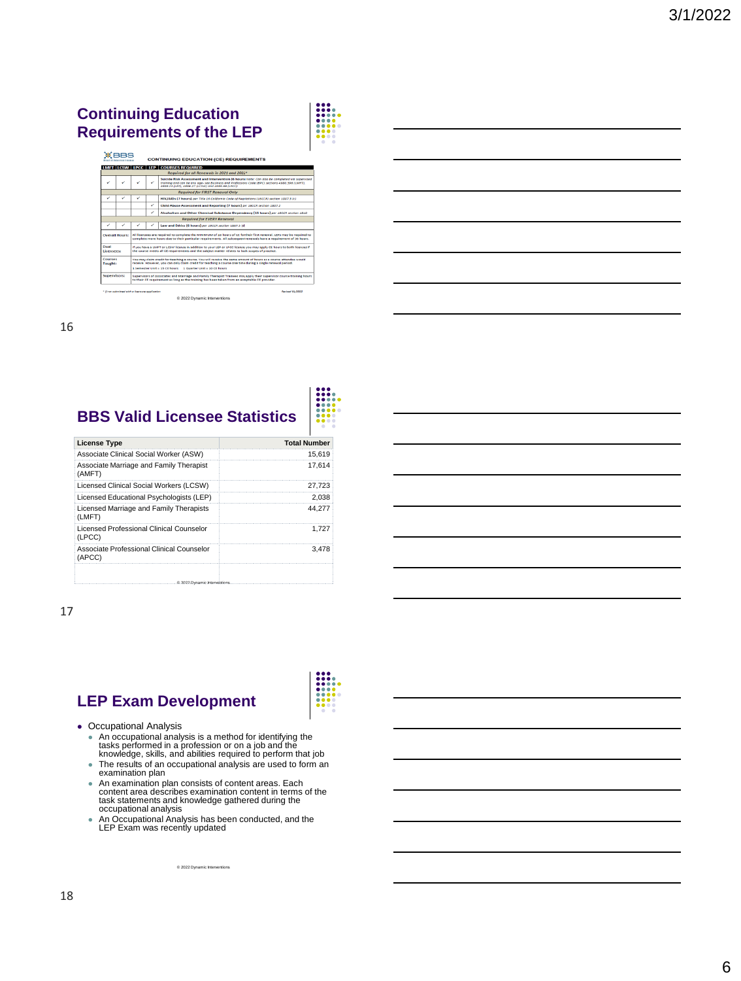### **Continuing Education Requirements of the LEP**



₩

| ЖВВS                                          |  | <b>CONTINUING EDUCATION (CE) REQUIREMENTS</b>                                                                                                                                                                                                                                                     |   |                                                                                                                                                                                                                                                    |                        |  |  |
|-----------------------------------------------|--|---------------------------------------------------------------------------------------------------------------------------------------------------------------------------------------------------------------------------------------------------------------------------------------------------|---|----------------------------------------------------------------------------------------------------------------------------------------------------------------------------------------------------------------------------------------------------|------------------------|--|--|
| <b>LMFT LCSW LPCC LEP COURSES REQUIRED</b>    |  |                                                                                                                                                                                                                                                                                                   |   |                                                                                                                                                                                                                                                    |                        |  |  |
| Required for all Renewals in 2021 and 2022*   |  |                                                                                                                                                                                                                                                                                                   |   |                                                                                                                                                                                                                                                    |                        |  |  |
|                                               |  |                                                                                                                                                                                                                                                                                                   | ر | Suicide Risk Assessment and Intervention (6 hours) Note: Can also be completed via supervised<br>training and can be any age-see business and Professions Code (BPC) sections 4980.396 (LMFT).<br>4989.23 (LEP), 4996.27 (LCSW) and 4999.66 (LPCC) |                        |  |  |
| <b>Required for FIRST Renewal Only</b>        |  |                                                                                                                                                                                                                                                                                                   |   |                                                                                                                                                                                                                                                    |                        |  |  |
| ✓                                             |  | v                                                                                                                                                                                                                                                                                                 |   | HIV/AIDs (7 hours) per Title 16 California Code of Regulations (16CCR) section 1007.3 (c)                                                                                                                                                          |                        |  |  |
|                                               |  |                                                                                                                                                                                                                                                                                                   | ✓ | Child Abuse Assessment and Reporting (7 hours) per 16CCR section 1807.2                                                                                                                                                                            |                        |  |  |
|                                               |  |                                                                                                                                                                                                                                                                                                   | ✓ | Alcoholism and Other Chemical Substance Dependency (15 hours) per 16CCR section 1810                                                                                                                                                               |                        |  |  |
| <b>Required for EVERY Renewal</b>             |  |                                                                                                                                                                                                                                                                                                   |   |                                                                                                                                                                                                                                                    |                        |  |  |
|                                               |  |                                                                                                                                                                                                                                                                                                   |   | Law and Ethics (6 hours) per 16CCR section 1887.3 (d)                                                                                                                                                                                              |                        |  |  |
| <b>Overall Hours:</b>                         |  | All licensees are required to complete the MINIMUM of 18 hours of CE for their first renewal. LEPs may be required to<br>complete more hours due to their particular requirements. All subsequent renewals have a requirement of 86 hours.                                                        |   |                                                                                                                                                                                                                                                    |                        |  |  |
| Dual<br>Licensees:                            |  | If you have a LMFT or LCSW license in addition to your LEP or LPCC license, you may apply CE hours to both licenses if<br>the course meets all CE requirements and the subject matter relates to both scopes of practice.                                                                         |   |                                                                                                                                                                                                                                                    |                        |  |  |
| Courses<br>Taught:                            |  | You may claim credit for teaching a course. You will receive the same amount of hours as a course attendee would<br>receive. However, you can only claim credit for teaching a course one time during a single renewal period.<br>1 Samastar Unit = 15 CE hours<br>1. Outsider Unit + 10.00 hours |   |                                                                                                                                                                                                                                                    |                        |  |  |
| <b>Supervisors:</b>                           |  | Supervisors of Associates and Marriage and Family Therapist Trainees may apply their supervisor course training hours<br>to their CE requirement as long as the training has been taken from an acceptable CE provider.                                                                           |   |                                                                                                                                                                                                                                                    |                        |  |  |
| * If not submitted with a Economy application |  |                                                                                                                                                                                                                                                                                                   |   |                                                                                                                                                                                                                                                    | <b>Revised 01/2022</b> |  |  |
|                                               |  |                                                                                                                                                                                                                                                                                                   |   | @ 2022 Dynamic Interventions                                                                                                                                                                                                                       |                        |  |  |

16

# **BBS Valid Licensee Statistics**

| <b>License Type</b>                                 | <b>Total Number</b> |
|-----------------------------------------------------|---------------------|
| Associate Clinical Social Worker (ASW)              | 15.619              |
| Associate Marriage and Family Therapist<br>(AMFT)   | 17.614              |
| Licensed Clinical Social Workers (LCSW)             | 27.723              |
| Licensed Educational Psychologists (LEP)            | 2.038               |
| Licensed Marriage and Family Therapists<br>(LMFT)   | 44.277              |
| Licensed Professional Clinical Counselor<br>(LPCC)  | 1.727               |
| Associate Professional Clinical Counselor<br>(APCC) | 3.478               |
|                                                     |                     |
|                                                     |                     |

 $-$  0 2022 Dy

17

# **LEP Exam Development**

- ⚫ Occupational Analysis
	- ⚫ An occupational analysis is a method for identifying the tasks performed in a profession or on a job and the knowledge, skills, and abilities required to perform that job
	- ⚫ The results of an occupational analysis are used to form an examination plan
	- ⚫ An examination plan consists of content areas. Each content area describes examination content in terms of the task statements and knowledge gathered during the occupational analysis
	- ⚫ An Occupational Analysis has been conducted, and the LEP Exam was recently updated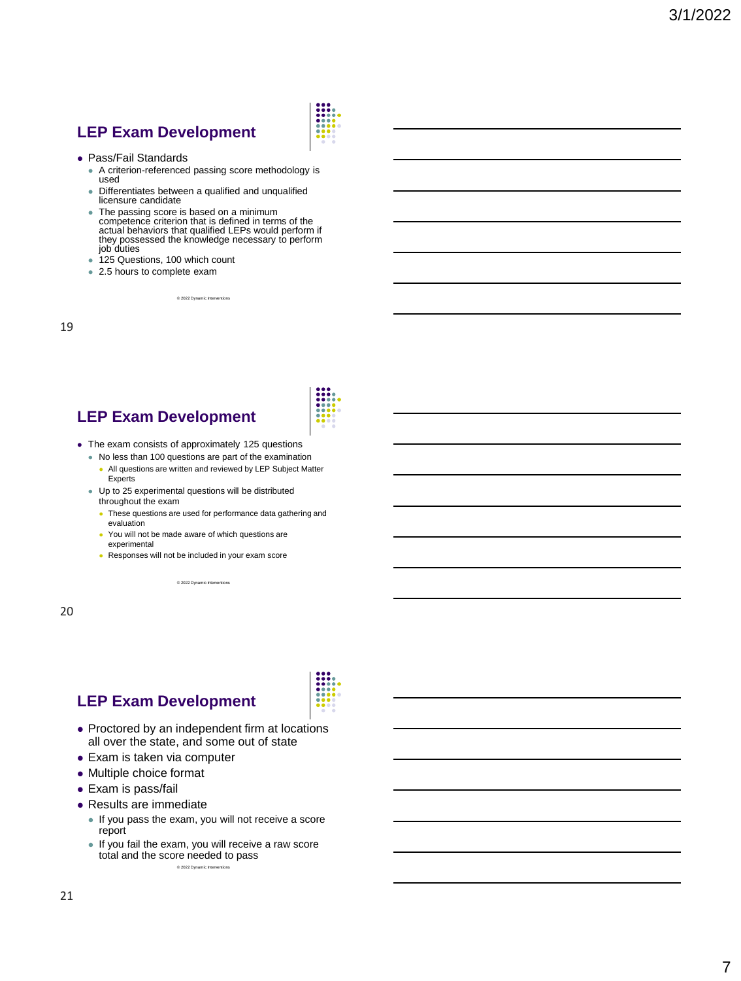## **LEP Exam Development**



- ⚫ Pass/Fail Standards
	- A criterion-referenced passing score methodology is used
	- ⚫ Differentiates between a qualified and unqualified licensure candidate
	- The passing score is based on a minimum competence criterion that is defined in terms of the actual behaviors that qualified LEPs would perform if they possessed the knowledge necessary to perform job duties
	- ⚫ 125 Questions, 100 which count
	- 2.5 hours to complete exam

© 2022 Dynamic Inter

19

# **LEP Exam Development**

- ⚫ The exam consists of approximately 125 questions
	- ⚫ No less than 100 questions are part of the examination
	- ⚫ All questions are written and reviewed by LEP Subject Matter **Experts**
	- ⚫ Up to 25 experimental questions will be distributed throughout the exam
		- ⚫ These questions are used for performance data gathering and evaluation
		- ⚫ You will not be made aware of which questions are experimental
		- ⚫ Responses will not be included in your exam score

© 2022 Dynamic Interv

20

# **LEP Exam Development**

- Proctored by an independent firm at locations all over the state, and some out of state
- ⚫ Exam is taken via computer
- ⚫ Multiple choice format
- ⚫ Exam is pass/fail
- ⚫ Results are immediate
	- ⚫ If you pass the exam, you will not receive a score report
	- ⚫ If you fail the exam, you will receive a raw score total and the score needed to pass  $@2022$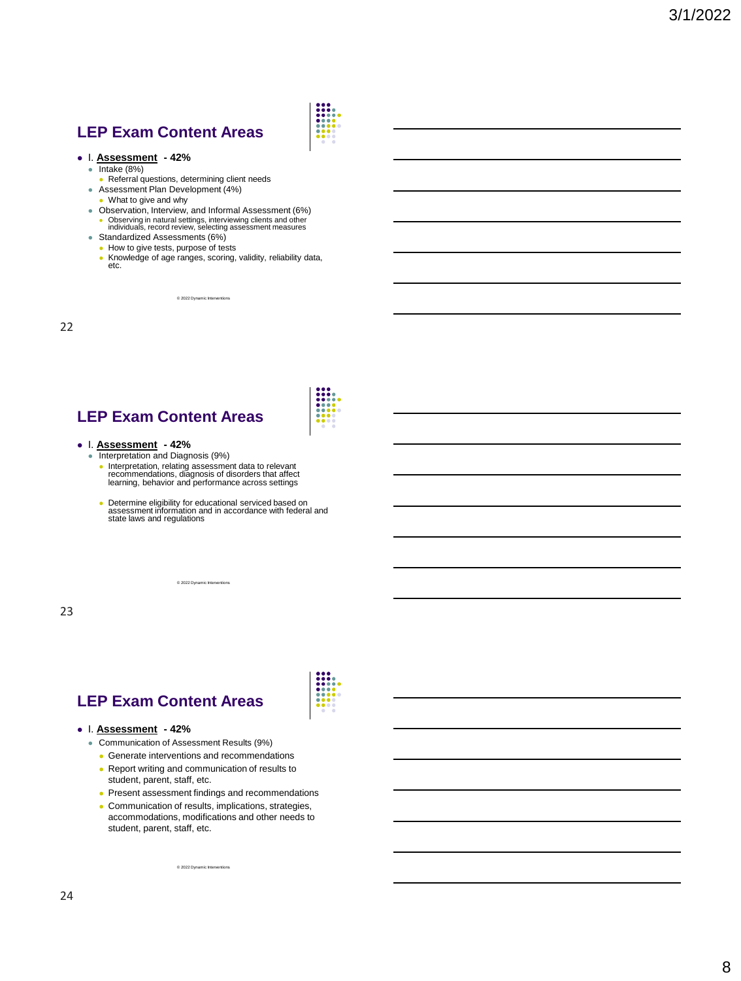### **LEP Exam Content Areas**



- ⚫ Intake (8%)
- ⚫ Referral questions, determining client needs
- Assessment Plan Development (4%)
- ⚫ What to give and why
- ⚫ Observation, Interview, and Informal Assessment (6%) ⚫ Observing in natural settings, interviewing clients and other individuals, record review, selecting assessment measures
- Standardized Assessments (6%)
	- ⚫ How to give tests, purpose of tests
	- ⚫ Knowledge of age ranges, scoring, validity, reliability data, etc.

© 2022 Dynamic Inter

22

# **LEP Exam Content Areas**

- 
- ⚫ I. **Assessment - 42%** ⚫ Interpretation and Diagnosis (9%)
	- ⚫ Interpretation, relating assessment data to relevant recommendations, diagnosis of disorders that affect learning, behavior and performance across settings
	- ⚫ Determine eligibility for educational serviced based on assessment information and in accordance with federal and state laws and regulations

© 2022 Dynamic Inter

23

# **LEP Exam Content Areas**

#### ⚫ I. **Assessment - 42%**

- ⚫ Communication of Assessment Results (9%)
	- Generate interventions and recommendations
	- Report writing and communication of results to student, parent, staff, etc.
	- ⚫ Present assessment findings and recommendations
	- ⚫ Communication of results, implications, strategies, accommodations, modifications and other needs to student, parent, staff, etc.

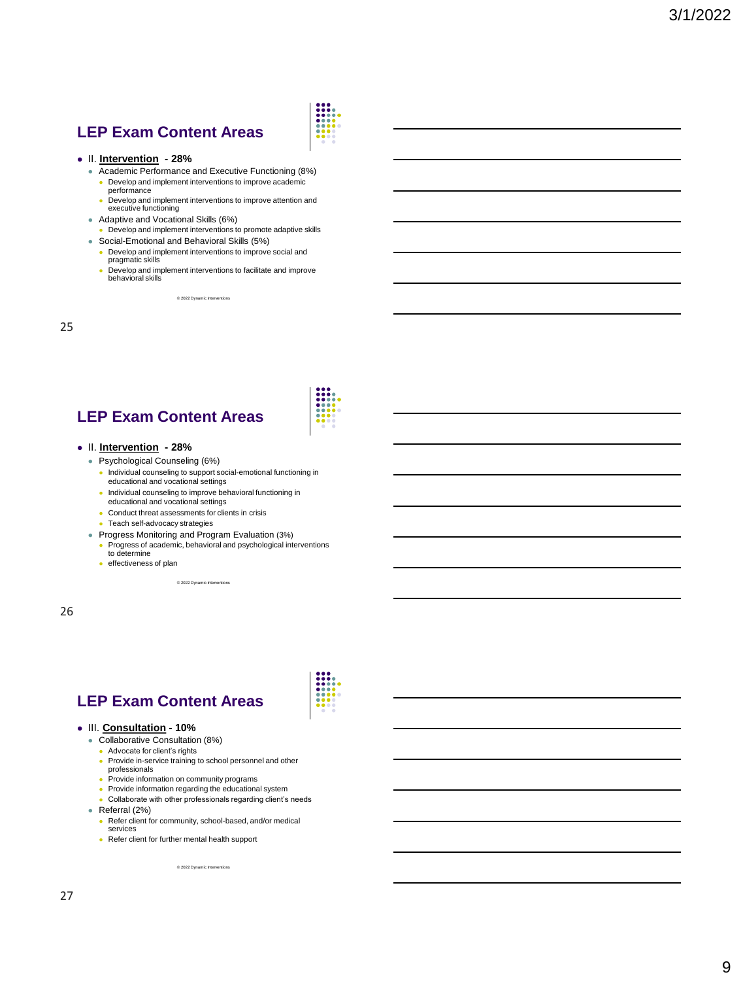## **LEP Exam Content Areas**

#### ⚫ II. **Intervention - 28%**

- ⚫ Academic Performance and Executive Functioning (8%) ⚫ Develop and implement interventions to improve academic
	- performance ● Develop and implement interventions to improve attention and executive functioning
- ⚫ Adaptive and Vocational Skills (6%)
	- ⚫ Develop and implement interventions to promote adaptive skills
- ⚫ Social-Emotional and Behavioral Skills (5%) ● Develop and implement interventions to improve social and
	- pragmatic skills
	- ⚫ Develop and implement interventions to facilitate and improve behavioral skills

© 2022 Dynamic Inter

25

# **LEP Exam Content Areas**

#### ⚫ II. **Intervention - 28%**

- ⚫ Psychological Counseling (6%)
	- ⚫ Individual counseling to support social-emotional functioning in educational and vocational settings
	- ⚫ Individual counseling to improve behavioral functioning in educational and vocational settings
	- Conduct threat assessments for clients in crisis
	- Teach self-advocacy strategies
- ⚫ Progress Monitoring and Program Evaluation (3%)
	- ⚫ Progress of academic, behavioral and psychological interventions to determine
	- ⚫ effectiveness of plan

© 2022 Dynamic Interv

26

# **LEP Exam Content Areas**

#### ⚫ III. **Consultation - 10%**

- ⚫ Collaborative Consultation (8%)
- ⚫ Advocate for client's rights
- ⚫ Provide in-service training to school personnel and other professionals
- Provide information on community programs
- Provide information regarding the educational system
- Collaborate with other professionals regarding client's needs ⚫ Referral (2%)
	- ⚫ Refer client for community, school-based, and/or medical services
	- Refer client for further mental health support

 $@ 2022$  Dynamic Intervent

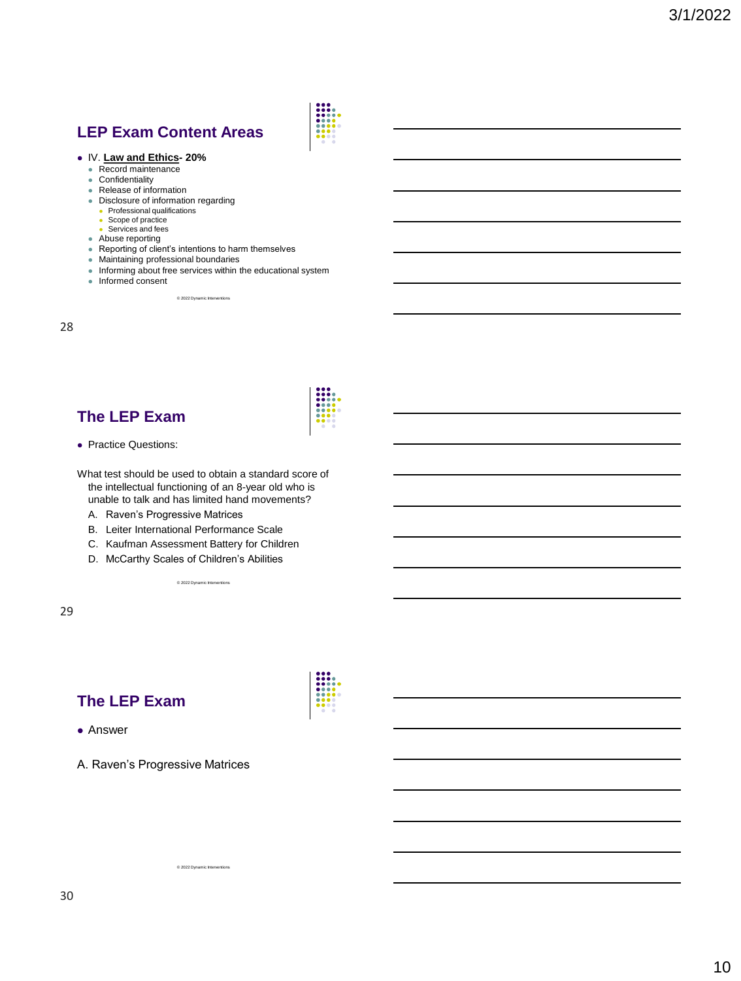# **LEP Exam Content Areas**



- Record maintenance<br>● Confidentiality
- **Confidentiality**
- Release of information
- ⚫ Disclosure of information regarding
	- ⚫ Professional qualifications
	- Scope of practice
	- Services and fees
	-
- ⚫ Abuse reporting ⚫ Reporting of client's intentions to harm themselves
- ⚫ Maintaining professional boundaries
- ⚫ Informing about free services within the educational system ⚫ Informed consent

© 2022 Dynamic Interv

28

### **The LEP Exam**



⚫ Practice Questions:

What test should be used to obtain a standard score of the intellectual functioning of an 8-year old who is unable to talk and has limited hand movements?

- A. Raven's Progressive Matrices
- B. Leiter International Performance Scale
- C. Kaufman Assessment Battery for Children

© 2022 Dynamic Interve

D. McCarthy Scales of Children's Abilities

29

### **The LEP Exam**

⚫ Answer

A. Raven's Progressive Matrices

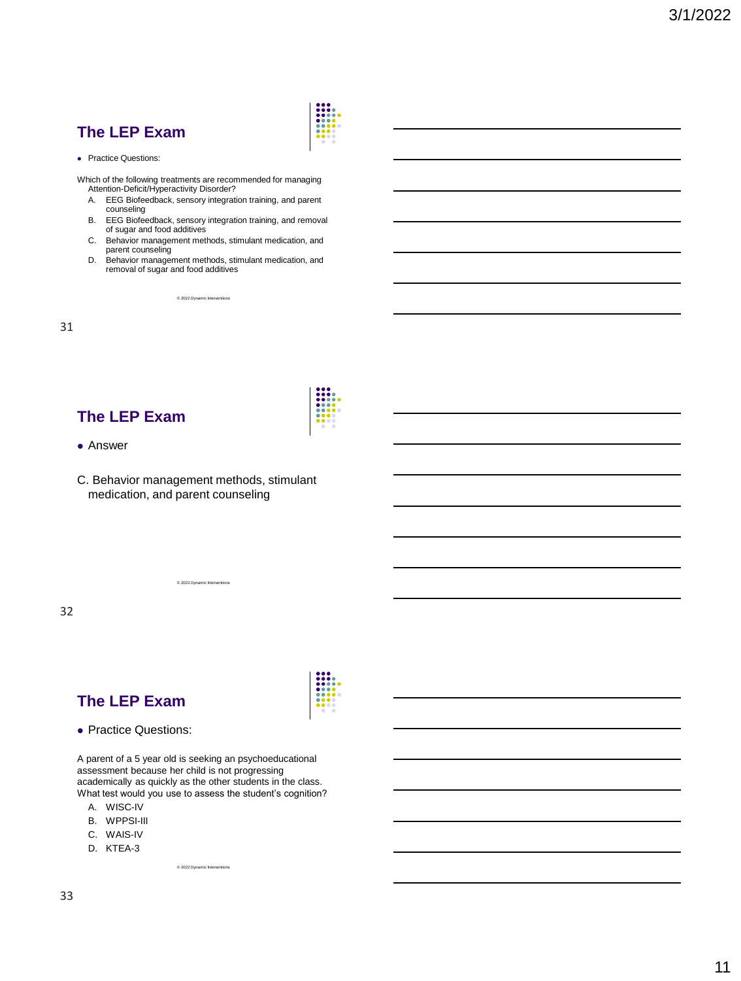

● Practice Questions:

Which of the following treatments are recommended for managing Attention-Deficit/Hyperactivity Disorder?

- A. EEG Biofeedback, sensory integration training, and parent counseling
- B. EEG Biofeedback, sensory integration training, and removal of sugar and food additives
- C. Behavior management methods, stimulant medication, and parent counseling
- D. Behavior management methods, stimulant medication, and removal of sugar and food additives

© 2022 Dynamic Interve

31

### **The LEP Exam**

- ⚫ Answer
- C. Behavior management methods, stimulant medication, and parent counseling

© 2022 Dynamic Interve

32

### **The LEP Exam**

⚫ Practice Questions:

A parent of a 5 year old is seeking an psychoeducational assessment because her child is not progressing academically as quickly as the other students in the class. What test would you use to assess the student's cognition?

- A. WISC-IV
- B. WPPSI-III
- C. WAIS-IV
- D. KTEA-3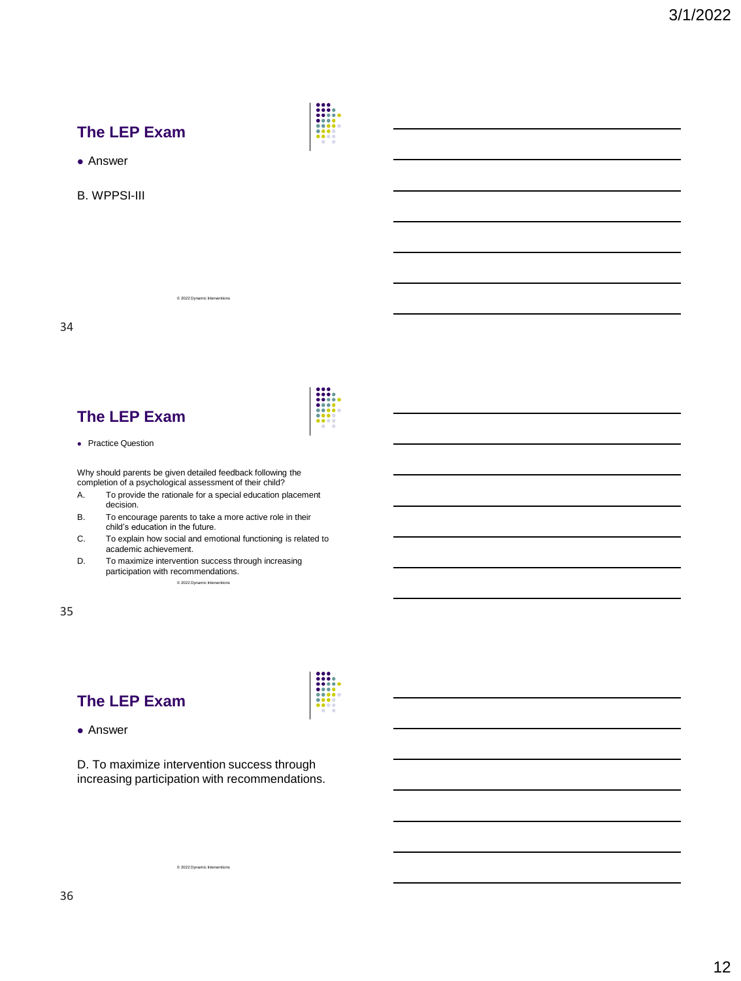



- ⚫ Answer
- B. WPPSI-III

34

### **The LEP Exam**

⚫ Practice Question

Why should parents be given detailed feedback following the completion of a psychological assessment of their child?

© 2022 Dynamic Interv

- A. To provide the rationale for a special education placement decision.
- B. To encourage parents to take a more active role in their child's education in the future.
- C. To explain how social and emotional functioning is related to academic achievement.
- D. To maximize intervention success through increasing participation with recommendations.  $@$  2022

35

# **The LEP Exam**

### ⚫ Answer

D. To maximize intervention success through increasing participation with recommendations.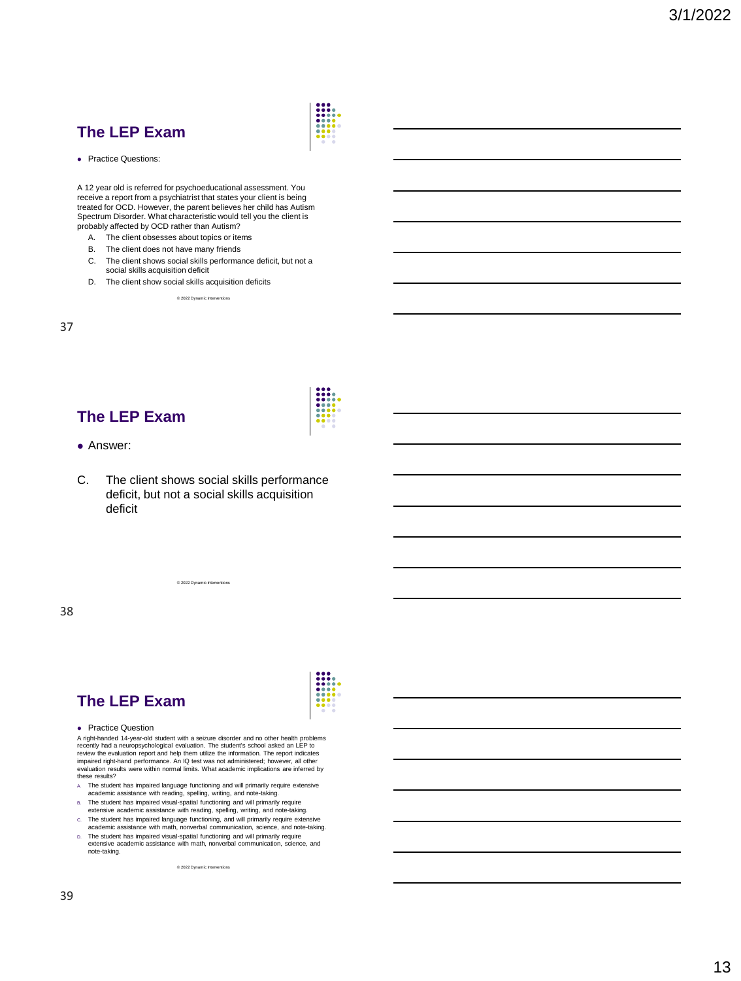

● Practice Questions:

A 12 year old is referred for psychoeducational assessment. You receive a report from a psychiatrist that states your client is being treated for OCD. However, the parent believes her child has Autism Spectrum Disorder. What characteristic would tell you the client is probably affected by OCD rather than Autism?

- A. The client obsesses about topics or items
- B. The client does not have many friends
- C. The client shows social skills performance deficit, but not a social skills acquisition deficit
- D. The client show social skills acquisition deficits © 2022 Dynamic Inte

37

### **The LEP Exam**

- ⚫ Answer:
- C. The client shows social skills performance deficit, but not a social skills acquisition deficit

© 2022 Dynamic Interv

38

# **The LEP Exam**

● Practice Question

A right-handed 14-year-old student with a seizure disorder and no other health problems<br>recently had a neuropsychological evaluation. The student's school asked an LEP to<br>review the evaluation report and help them utilize impaired right-hand performance. An IQ test was not administered; however, all other evaluation results were within normal limits. What academic implications are inferred by these results?

- 
- A. The student has impaired language functioning and will primarily require extensive<br>academic assistance with reading, spelling, writing, and note-taking.<br>B. The student has impaired visual-spatial functioning and will pr
- C. The student has impaired language functioning, and will primarily require extensive academic assistance with math, nonverbal communication, science, and note-taking.
- D. The student has impaired visual-spatial functioning and will primarily require extensive academic assistance with math, nonverbal communication, science, and note-taking.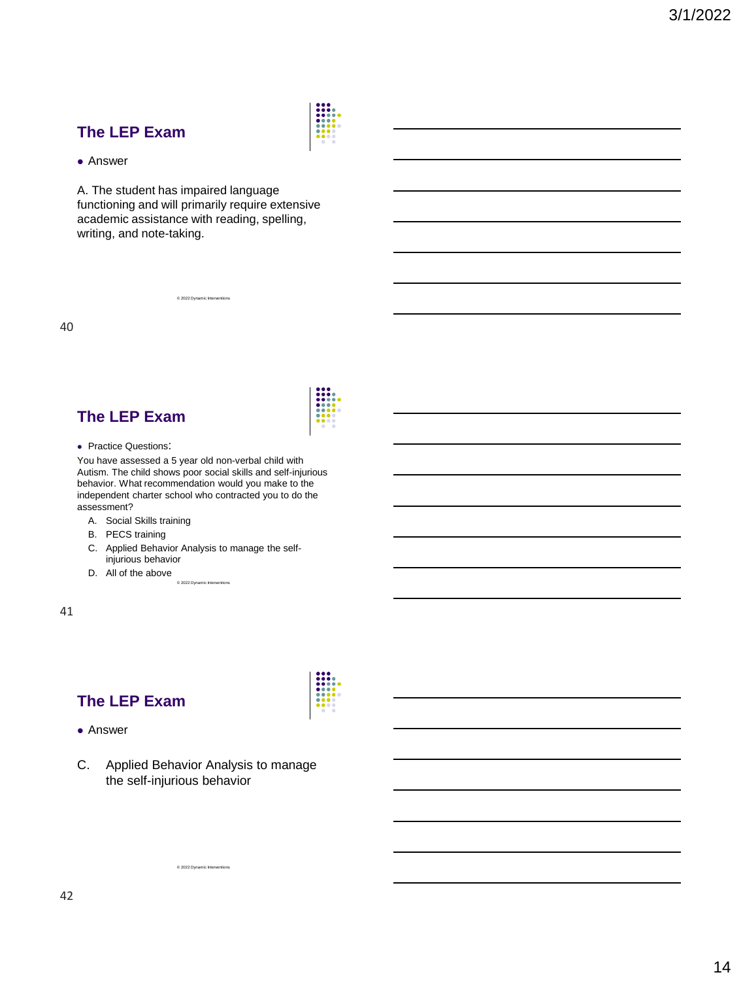

#### ⚫ Answer

A. The student has impaired language functioning and will primarily require extensive academic assistance with reading, spelling, writing, and note-taking.

© 2022 Dynamic Interve

40

### **The LEP Exam**



You have assessed a 5 year old non-verbal child with Autism. The child shows poor social skills and self-injurious behavior. What recommendation would you make to the independent charter school who contracted you to do the assessment?

- A. Social Skills training
- B. PECS training
- C. Applied Behavior Analysis to manage the selfinjurious behavior
- D. All of the above © 2022 Dynamic Interventions

41

# **The LEP Exam**

#### ⚫ Answer

C. Applied Behavior Analysis to manage the self-injurious behavior

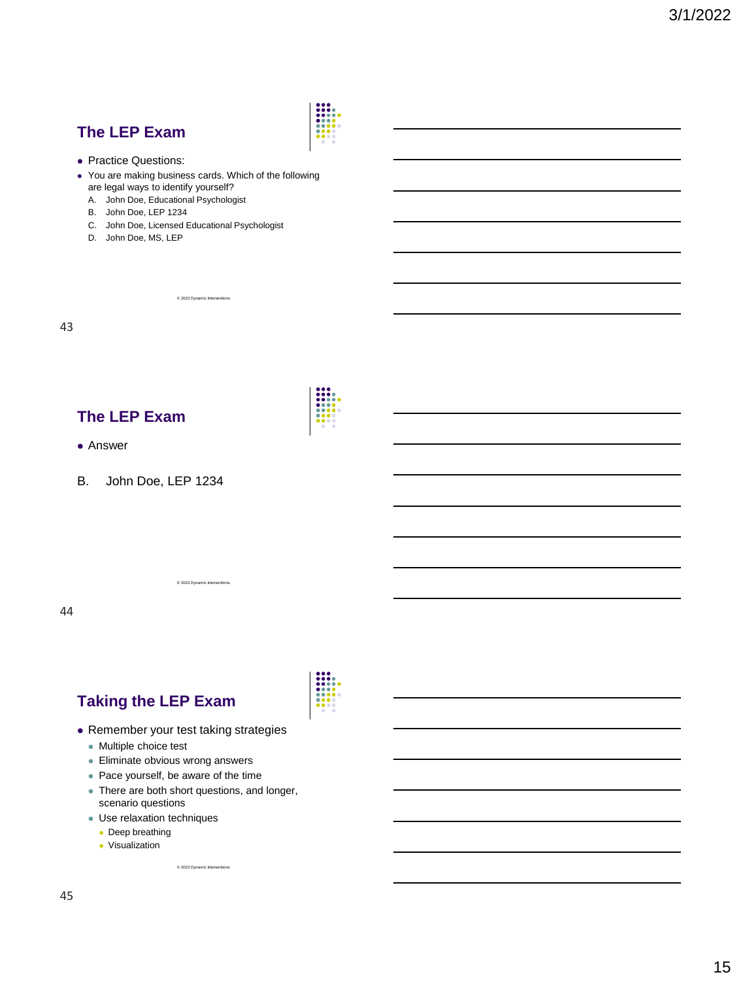

- ⚫ Practice Questions:
- ⚫ You are making business cards. Which of the following are legal ways to identify yourself?
	- A. John Doe, Educational Psychologist
	- B. John Doe, LEP 1234
	- C. John Doe, Licensed Educational Psychologist

© 2022 Dynamic Interv

D. John Doe, MS, LEP

43

### **The LEP Exam**

- ⚫ Answer
- B. John Doe, LEP 1234

44

### **Taking the LEP Exam**

⚫ Remember your test taking strategies

© 2022 Dynamic Interventions

- ⚫ Multiple choice test
- ⚫ Eliminate obvious wrong answers
- ⚫ Pace yourself, be aware of the time
- ⚫ There are both short questions, and longer, scenario questions
- ⚫ Use relaxation techniques
- ⚫ Deep breathing
- ⚫ Visualization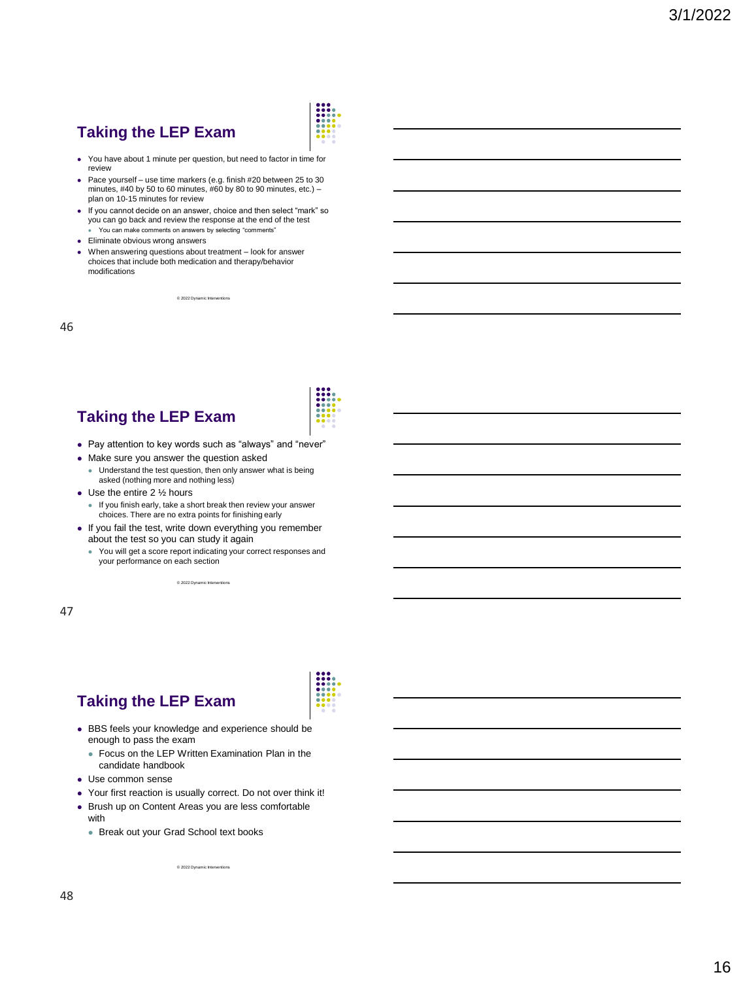# **Taking the LEP Exam**



- ⚫ You have about 1 minute per question, but need to factor in time for review
- ⚫ Pace yourself use time markers (e.g. finish #20 between 25 to 30 minutes, #40 by 50 to 60 minutes,  $#60$  by 80 to 90 minutes, etc.) – plan on 10-15 minutes for review
- ⚫ If you cannot decide on an answer, choice and then select "mark" so you can go back and review the response at the end of the test You can make comments on answers by selecting "comments"
- ⚫ Eliminate obvious wrong answers
- ⚫ When answering questions about treatment look for answer choices that include both medication and therapy/behavior modifications

© 2022 Dynamic Inter

46

# **Taking the LEP Exam**

- ⚫ Pay attention to key words such as "always" and "never"
- ⚫ Make sure you answer the question asked
	- ⚫ Understand the test question, then only answer what is being asked (nothing more and nothing less)
- Use the entire 2 1/2 hours
	- ⚫ If you finish early, take a short break then review your answer choices. There are no extra points for finishing early
- ⚫ If you fail the test, write down everything you remember about the test so you can study it again
	- ⚫ You will get a score report indicating your correct responses and your performance on each section

© 2022 Dynamic Interve

47

# **Taking the LEP Exam**



- Focus on the LEP Written Examination Plan in the candidate handbook
- ⚫ Use common sense
- ⚫ Your first reaction is usually correct. Do not over think it!
- ⚫ Brush up on Content Areas you are less comfortable

with

⚫ Break out your Grad School text books

 $@ 2022$  Dynamic Interve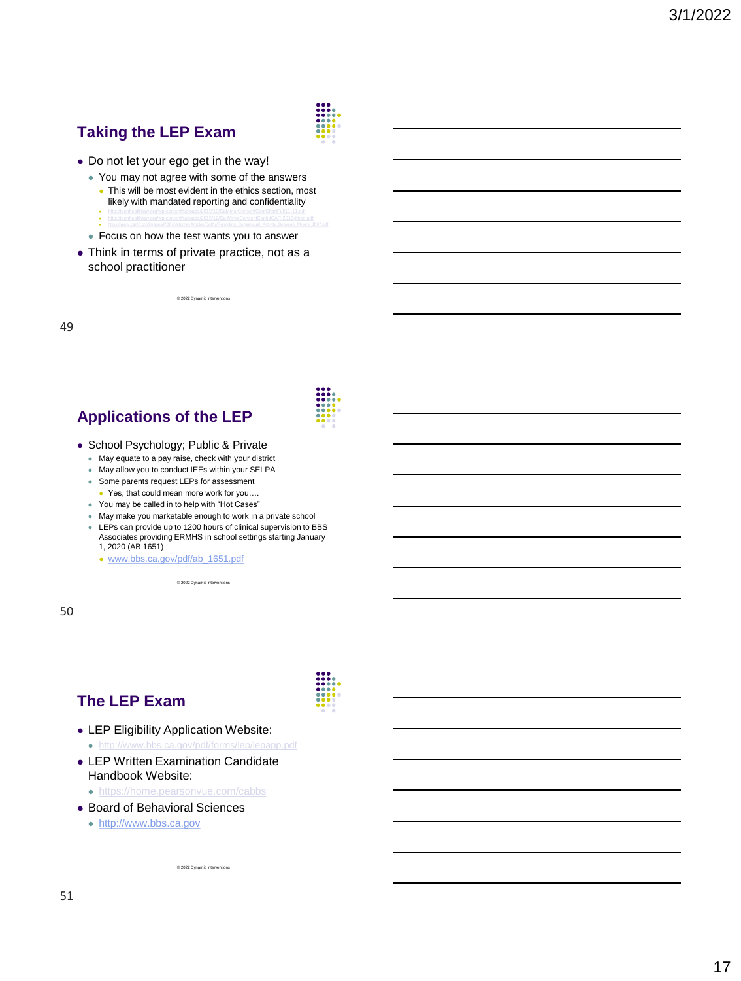# **Taking the LEP Exam**



- ⚫ Do not let your ego get in the way!
	- ⚫ You may not agree with some of the answers ⚫ This will be most evident in the ethics section, most
		- likely with mandated reporting and confidentiality ● <http://teenhealthlaw.org/wp-content/uploads/2015/10/CaMinorConsentConfChartFull11-11.pdf>
		- <http://teenhealthlaw.org/wp-content/uploads/2015/12/Ca-MinorConsentConfidCAR-20164thed.pdf> ⚫ [https://www.camft.org/images/PDFs/AttorneyArticles/Cathy/Reporting\\_Consensual\\_Activity\\_Between\\_Minors\\_JF07.pdf](https://www.camft.org/images/PDFs/AttorneyArticles/Cathy/Reporting_Consensual_Activity_Between_Minors_JF07.pdf)
	- ⚫ Focus on how the test wants you to answer
- ⚫ Think in terms of private practice, not as a school practitioner

© 2022 Dynamic Inter

49

# **Applications of the LEP**

- ⚫ School Psychology; Public & Private
	- ⚫ May equate to a pay raise, check with your district
	- ⚫ May allow you to conduct IEEs within your SELPA
	- Some parents request LEPs for assessment
		- Yes, that could mean more work for you….
	- ⚫ You may be called in to help with "Hot Cases"
	- ⚫ May make you marketable enough to work in a private school
	- ⚫ LEPs can provide up to 1200 hours of clinical supervision to BBS Associates providing ERMHS in school settings starting January 1, 2020 (AB 1651)
		- [www.bbs.ca.gov/pdf/ab\\_1651.pdf](http://www.bbs.ca.gov/pdf/ab_1651.pdf)

© 2022 Dynamic Interv

50

### **The LEP Exam**

- ⚫ LEP Eligibility Application Website:
	- ⚫ <http://www.bbs.ca.gov/pdf/forms/lep/lepapp.pdf>
- ⚫ LEP Written Examination Candidate Handbook Website:
	- ⚫ <https://home.pearsonvue.com/cabbs>
- ⚫ Board of Behavioral Sciences
	- ⚫ [http://www.bbs.ca.gov](http://www.bbs.ca.gov/)